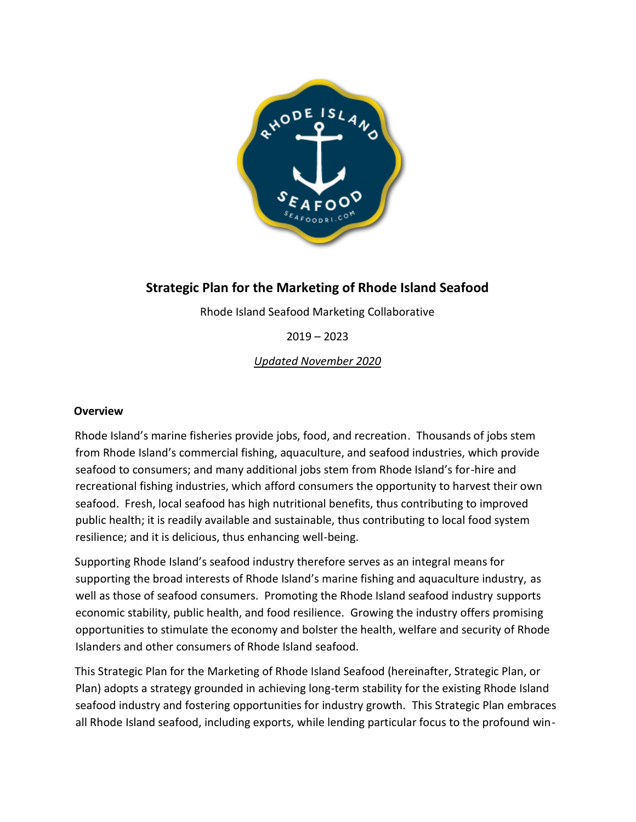

# **Strategic Plan for the Marketing of Rhode Island Seafood**

Rhode Island Seafood Marketing Collaborative

2019 – 2023

*Updated November 2020*

## **Overview**

Rhode Island's marine fisheries provide jobs, food, and recreation. Thousands of jobs stem from Rhode Island's commercial fishing, aquaculture, and seafood industries, which provide seafood to consumers; and many additional jobs stem from Rhode Island's for-hire and recreational fishing industries, which afford consumers the opportunity to harvest their own seafood. Fresh, local seafood has high nutritional benefits, thus contributing to improved public health; it is readily available and sustainable, thus contributing to local food system resilience; and it is delicious, thus enhancing well-being.

Supporting Rhode Island's seafood industry therefore serves as an integral means for supporting the broad interests of Rhode Island's marine fishing and aquaculture industry, as well as those of seafood consumers. Promoting the Rhode Island seafood industry supports economic stability, public health, and food resilience. Growing the industry offers promising opportunities to stimulate the economy and bolster the health, welfare and security of Rhode Islanders and other consumers of Rhode Island seafood.

This Strategic Plan for the Marketing of Rhode Island Seafood (hereinafter, Strategic Plan, or Plan) adopts a strategy grounded in achieving long-term stability for the existing Rhode Island seafood industry and fostering opportunities for industry growth. This Strategic Plan embraces all Rhode Island seafood, including exports, while lending particular focus to the profound win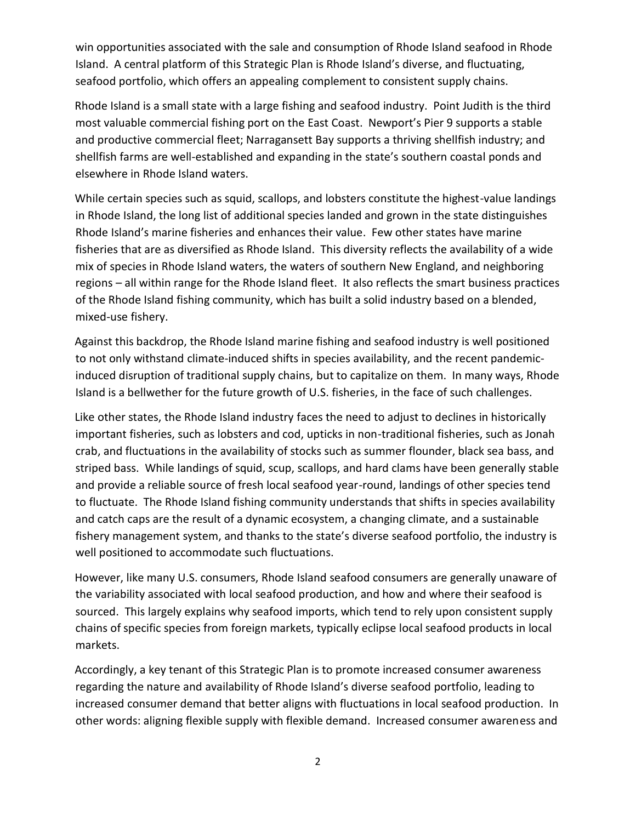win opportunities associated with the sale and consumption of Rhode Island seafood in Rhode Island. A central platform of this Strategic Plan is Rhode Island's diverse, and fluctuating, seafood portfolio, which offers an appealing complement to consistent supply chains.

Rhode Island is a small state with a large fishing and seafood industry. Point Judith is the third most valuable commercial fishing port on the East Coast. Newport's Pier 9 supports a stable and productive commercial fleet; Narragansett Bay supports a thriving shellfish industry; and shellfish farms are well-established and expanding in the state's southern coastal ponds and elsewhere in Rhode Island waters.

While certain species such as squid, scallops, and lobsters constitute the highest-value landings in Rhode Island, the long list of additional species landed and grown in the state distinguishes Rhode Island's marine fisheries and enhances their value. Few other states have marine fisheries that are as diversified as Rhode Island. This diversity reflects the availability of a wide mix of species in Rhode Island waters, the waters of southern New England, and neighboring regions – all within range for the Rhode Island fleet. It also reflects the smart business practices of the Rhode Island fishing community, which has built a solid industry based on a blended, mixed-use fishery.

Against this backdrop, the Rhode Island marine fishing and seafood industry is well positioned to not only withstand climate-induced shifts in species availability, and the recent pandemicinduced disruption of traditional supply chains, but to capitalize on them. In many ways, Rhode Island is a bellwether for the future growth of U.S. fisheries, in the face of such challenges.

Like other states, the Rhode Island industry faces the need to adjust to declines in historically important fisheries, such as lobsters and cod, upticks in non-traditional fisheries, such as Jonah crab, and fluctuations in the availability of stocks such as summer flounder, black sea bass, and striped bass. While landings of squid, scup, scallops, and hard clams have been generally stable and provide a reliable source of fresh local seafood year-round, landings of other species tend to fluctuate. The Rhode Island fishing community understands that shifts in species availability and catch caps are the result of a dynamic ecosystem, a changing climate, and a sustainable fishery management system, and thanks to the state's diverse seafood portfolio, the industry is well positioned to accommodate such fluctuations.

However, like many U.S. consumers, Rhode Island seafood consumers are generally unaware of the variability associated with local seafood production, and how and where their seafood is sourced. This largely explains why seafood imports, which tend to rely upon consistent supply chains of specific species from foreign markets, typically eclipse local seafood products in local markets.

Accordingly, a key tenant of this Strategic Plan is to promote increased consumer awareness regarding the nature and availability of Rhode Island's diverse seafood portfolio, leading to increased consumer demand that better aligns with fluctuations in local seafood production. In other words: aligning flexible supply with flexible demand. Increased consumer awareness and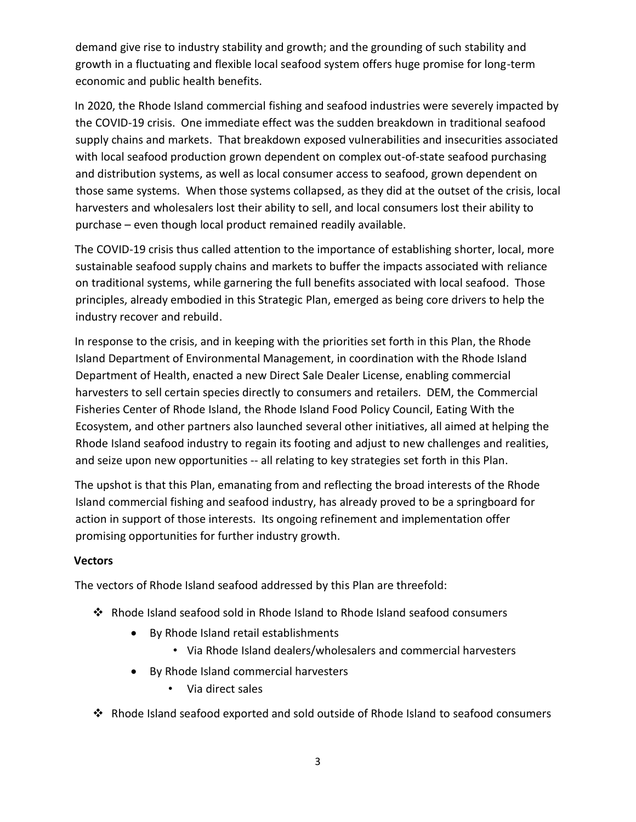demand give rise to industry stability and growth; and the grounding of such stability and growth in a fluctuating and flexible local seafood system offers huge promise for long-term economic and public health benefits.

In 2020, the Rhode Island commercial fishing and seafood industries were severely impacted by the COVID-19 crisis. One immediate effect was the sudden breakdown in traditional seafood supply chains and markets. That breakdown exposed vulnerabilities and insecurities associated with local seafood production grown dependent on complex out-of-state seafood purchasing and distribution systems, as well as local consumer access to seafood, grown dependent on those same systems. When those systems collapsed, as they did at the outset of the crisis, local harvesters and wholesalers lost their ability to sell, and local consumers lost their ability to purchase – even though local product remained readily available.

The COVID-19 crisis thus called attention to the importance of establishing shorter, local, more sustainable seafood supply chains and markets to buffer the impacts associated with reliance on traditional systems, while garnering the full benefits associated with local seafood. Those principles, already embodied in this Strategic Plan, emerged as being core drivers to help the industry recover and rebuild.

In response to the crisis, and in keeping with the priorities set forth in this Plan, the Rhode Island Department of Environmental Management, in coordination with the Rhode Island Department of Health, enacted a new Direct Sale Dealer License, enabling commercial harvesters to sell certain species directly to consumers and retailers. DEM, the Commercial Fisheries Center of Rhode Island, the Rhode Island Food Policy Council, Eating With the Ecosystem, and other partners also launched several other initiatives, all aimed at helping the Rhode Island seafood industry to regain its footing and adjust to new challenges and realities, and seize upon new opportunities -- all relating to key strategies set forth in this Plan.

The upshot is that this Plan, emanating from and reflecting the broad interests of the Rhode Island commercial fishing and seafood industry, has already proved to be a springboard for action in support of those interests. Its ongoing refinement and implementation offer promising opportunities for further industry growth.

#### **Vectors**

The vectors of Rhode Island seafood addressed by this Plan are threefold:

- Rhode Island seafood sold in Rhode Island to Rhode Island seafood consumers
	- By Rhode Island retail establishments
		- Via Rhode Island dealers/wholesalers and commercial harvesters
	- By Rhode Island commercial harvesters
		- Via direct sales
- Rhode Island seafood exported and sold outside of Rhode Island to seafood consumers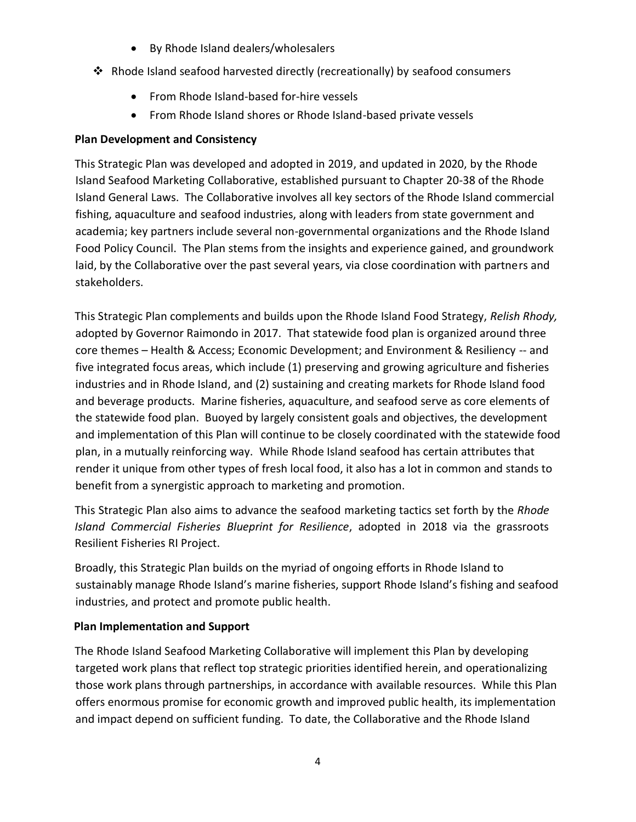- By Rhode Island dealers/wholesalers
- Rhode Island seafood harvested directly (recreationally) by seafood consumers
	- From Rhode Island-based for-hire vessels
	- From Rhode Island shores or Rhode Island-based private vessels

## **Plan Development and Consistency**

This Strategic Plan was developed and adopted in 2019, and updated in 2020, by the Rhode Island Seafood Marketing Collaborative, established pursuant to Chapter 20-38 of the Rhode Island General Laws. The Collaborative involves all key sectors of the Rhode Island commercial fishing, aquaculture and seafood industries, along with leaders from state government and academia; key partners include several non-governmental organizations and the Rhode Island Food Policy Council. The Plan stems from the insights and experience gained, and groundwork laid, by the Collaborative over the past several years, via close coordination with partners and stakeholders.

This Strategic Plan complements and builds upon the Rhode Island Food Strategy, *Relish Rhody,* adopted by Governor Raimondo in 2017. That statewide food plan is organized around three core themes – Health & Access; Economic Development; and Environment & Resiliency -- and five integrated focus areas, which include (1) preserving and growing agriculture and fisheries industries and in Rhode Island, and (2) sustaining and creating markets for Rhode Island food and beverage products. Marine fisheries, aquaculture, and seafood serve as core elements of the statewide food plan. Buoyed by largely consistent goals and objectives, the development and implementation of this Plan will continue to be closely coordinated with the statewide food plan, in a mutually reinforcing way. While Rhode Island seafood has certain attributes that render it unique from other types of fresh local food, it also has a lot in common and stands to benefit from a synergistic approach to marketing and promotion.

This Strategic Plan also aims to advance the seafood marketing tactics set forth by the *Rhode Island Commercial Fisheries Blueprint for Resilience*, adopted in 2018 via the grassroots Resilient Fisheries RI Project.

Broadly, this Strategic Plan builds on the myriad of ongoing efforts in Rhode Island to sustainably manage Rhode Island's marine fisheries, support Rhode Island's fishing and seafood industries, and protect and promote public health.

#### **Plan Implementation and Support**

The Rhode Island Seafood Marketing Collaborative will implement this Plan by developing targeted work plans that reflect top strategic priorities identified herein, and operationalizing those work plans through partnerships, in accordance with available resources. While this Plan offers enormous promise for economic growth and improved public health, its implementation and impact depend on sufficient funding. To date, the Collaborative and the Rhode Island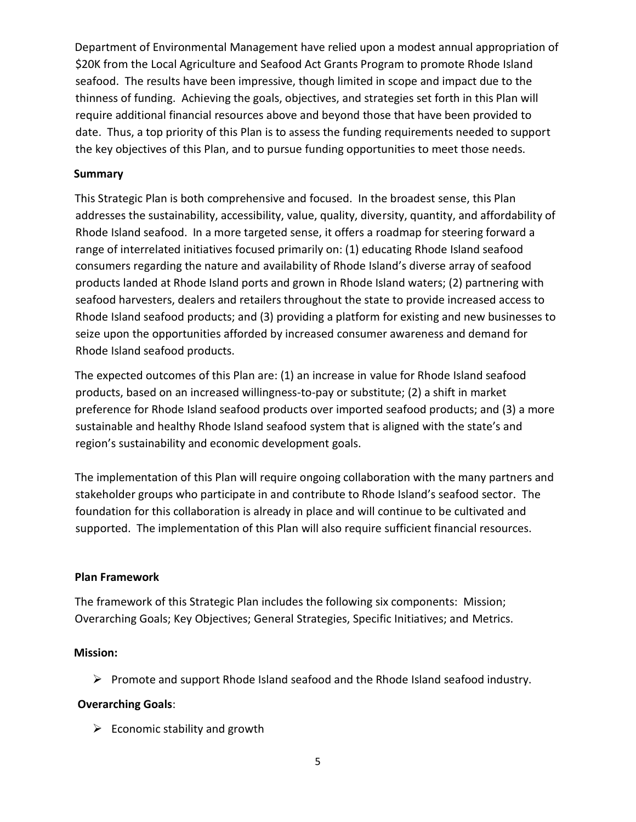Department of Environmental Management have relied upon a modest annual appropriation of \$20K from the Local Agriculture and Seafood Act Grants Program to promote Rhode Island seafood. The results have been impressive, though limited in scope and impact due to the thinness of funding. Achieving the goals, objectives, and strategies set forth in this Plan will require additional financial resources above and beyond those that have been provided to date. Thus, a top priority of this Plan is to assess the funding requirements needed to support the key objectives of this Plan, and to pursue funding opportunities to meet those needs.

#### **Summary**

This Strategic Plan is both comprehensive and focused. In the broadest sense, this Plan addresses the sustainability, accessibility, value, quality, diversity, quantity, and affordability of Rhode Island seafood. In a more targeted sense, it offers a roadmap for steering forward a range of interrelated initiatives focused primarily on: (1) educating Rhode Island seafood consumers regarding the nature and availability of Rhode Island's diverse array of seafood products landed at Rhode Island ports and grown in Rhode Island waters; (2) partnering with seafood harvesters, dealers and retailers throughout the state to provide increased access to Rhode Island seafood products; and (3) providing a platform for existing and new businesses to seize upon the opportunities afforded by increased consumer awareness and demand for Rhode Island seafood products.

The expected outcomes of this Plan are: (1) an increase in value for Rhode Island seafood products, based on an increased willingness-to-pay or substitute; (2) a shift in market preference for Rhode Island seafood products over imported seafood products; and (3) a more sustainable and healthy Rhode Island seafood system that is aligned with the state's and region's sustainability and economic development goals.

The implementation of this Plan will require ongoing collaboration with the many partners and stakeholder groups who participate in and contribute to Rhode Island's seafood sector. The foundation for this collaboration is already in place and will continue to be cultivated and supported. The implementation of this Plan will also require sufficient financial resources.

#### **Plan Framework**

The framework of this Strategic Plan includes the following six components: Mission; Overarching Goals; Key Objectives; General Strategies, Specific Initiatives; and Metrics.

#### **Mission:**

 $\triangleright$  Promote and support Rhode Island seafood and the Rhode Island seafood industry.

#### **Overarching Goals**:

 $\triangleright$  Economic stability and growth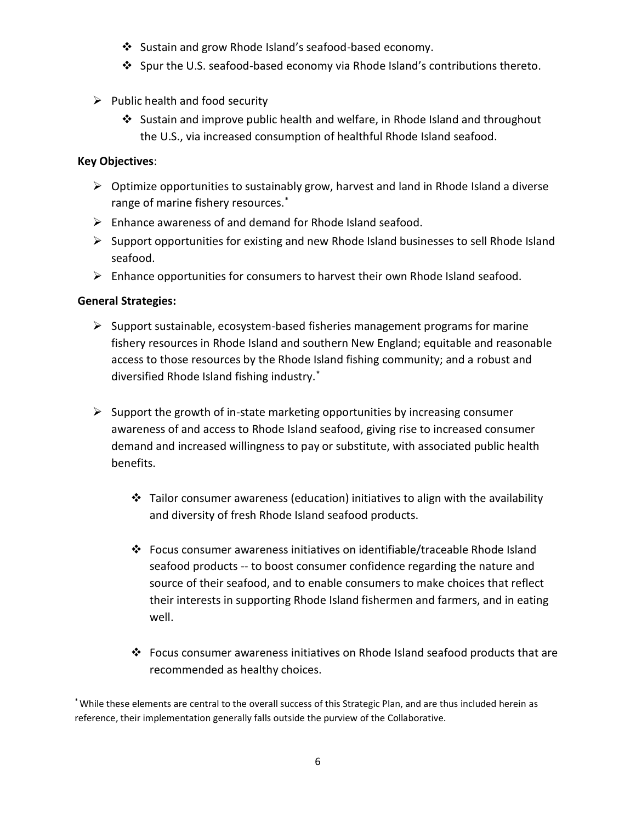- ❖ Sustain and grow Rhode Island's seafood-based economy.
- $\clubsuit$  Spur the U.S. seafood-based economy via Rhode Island's contributions thereto.
- $\triangleright$  Public health and food security
	- Sustain and improve public health and welfare, in Rhode Island and throughout the U.S., via increased consumption of healthful Rhode Island seafood.

#### **Key Objectives**:

- $\triangleright$  Optimize opportunities to sustainably grow, harvest and land in Rhode Island a diverse range of marine fishery resources.\*
- $\triangleright$  Enhance awareness of and demand for Rhode Island seafood.
- $\triangleright$  Support opportunities for existing and new Rhode Island businesses to sell Rhode Island seafood.
- Enhance opportunities for consumers to harvest their own Rhode Island seafood.

### **General Strategies:**

- $\triangleright$  Support sustainable, ecosystem-based fisheries management programs for marine fishery resources in Rhode Island and southern New England; equitable and reasonable access to those resources by the Rhode Island fishing community; and a robust and diversified Rhode Island fishing industry.\*
- $\triangleright$  Support the growth of in-state marketing opportunities by increasing consumer awareness of and access to Rhode Island seafood, giving rise to increased consumer demand and increased willingness to pay or substitute, with associated public health benefits.
	- $\cdot \cdot$  Tailor consumer awareness (education) initiatives to align with the availability and diversity of fresh Rhode Island seafood products.
	- Focus consumer awareness initiatives on identifiable/traceable Rhode Island seafood products -- to boost consumer confidence regarding the nature and source of their seafood, and to enable consumers to make choices that reflect their interests in supporting Rhode Island fishermen and farmers, and in eating well.
	- Focus consumer awareness initiatives on Rhode Island seafood products that are recommended as healthy choices.

\* While these elements are central to the overall success of this Strategic Plan, and are thus included herein as reference, their implementation generally falls outside the purview of the Collaborative.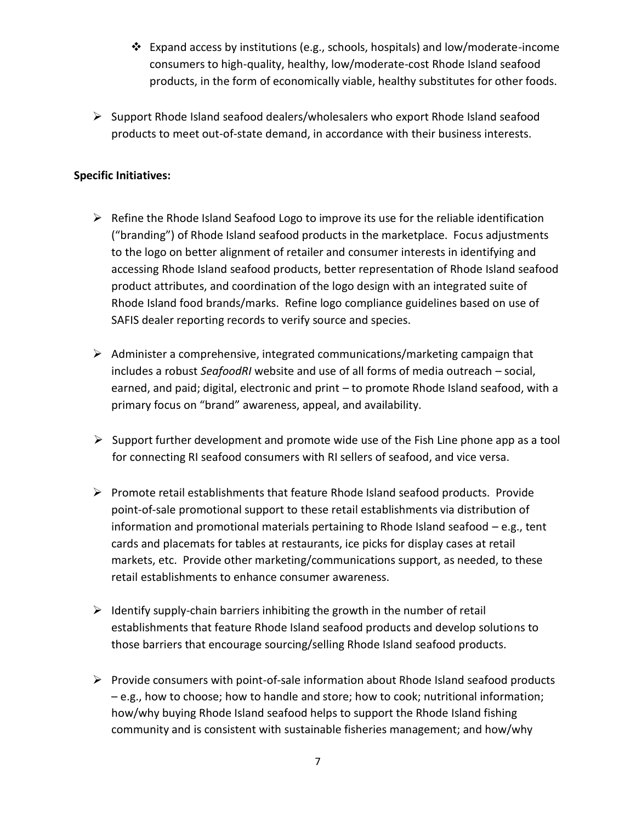- Expand access by institutions (e.g., schools, hospitals) and low/moderate-income consumers to high-quality, healthy, low/moderate-cost Rhode Island seafood products, in the form of economically viable, healthy substitutes for other foods.
- $\triangleright$  Support Rhode Island seafood dealers/wholesalers who export Rhode Island seafood products to meet out-of-state demand, in accordance with their business interests.

### **Specific Initiatives:**

- $\triangleright$  Refine the Rhode Island Seafood Logo to improve its use for the reliable identification ("branding") of Rhode Island seafood products in the marketplace. Focus adjustments to the logo on better alignment of retailer and consumer interests in identifying and accessing Rhode Island seafood products, better representation of Rhode Island seafood product attributes, and coordination of the logo design with an integrated suite of Rhode Island food brands/marks. Refine logo compliance guidelines based on use of SAFIS dealer reporting records to verify source and species.
- $\triangleright$  Administer a comprehensive, integrated communications/marketing campaign that includes a robust *SeafoodRI* website and use of all forms of media outreach – social, earned, and paid; digital, electronic and print – to promote Rhode Island seafood, with a primary focus on "brand" awareness, appeal, and availability.
- $\triangleright$  Support further development and promote wide use of the Fish Line phone app as a tool for connecting RI seafood consumers with RI sellers of seafood, and vice versa.
- $\triangleright$  Promote retail establishments that feature Rhode Island seafood products. Provide point-of-sale promotional support to these retail establishments via distribution of information and promotional materials pertaining to Rhode Island seafood – e.g., tent cards and placemats for tables at restaurants, ice picks for display cases at retail markets, etc. Provide other marketing/communications support, as needed, to these retail establishments to enhance consumer awareness.
- $\triangleright$  Identify supply-chain barriers inhibiting the growth in the number of retail establishments that feature Rhode Island seafood products and develop solutions to those barriers that encourage sourcing/selling Rhode Island seafood products.
- $\triangleright$  Provide consumers with point-of-sale information about Rhode Island seafood products – e.g., how to choose; how to handle and store; how to cook; nutritional information; how/why buying Rhode Island seafood helps to support the Rhode Island fishing community and is consistent with sustainable fisheries management; and how/why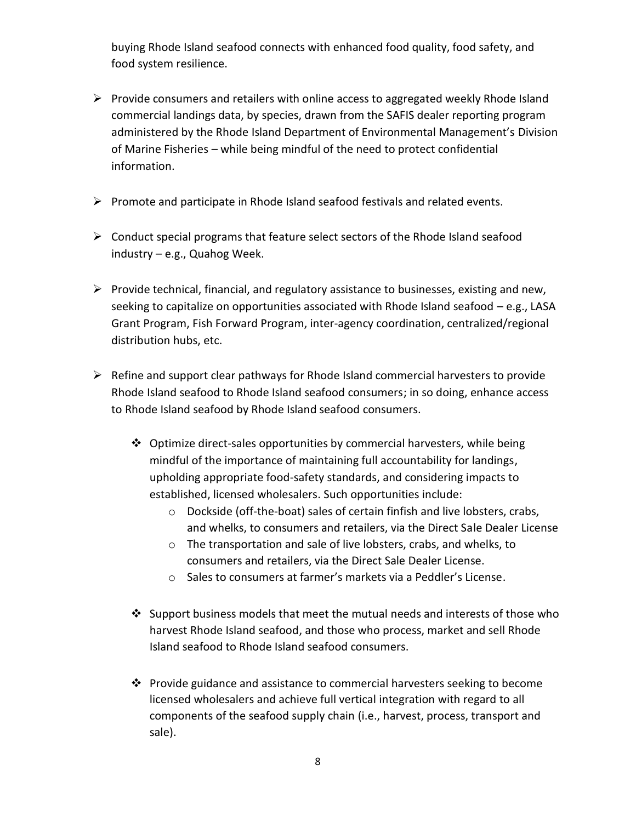buying Rhode Island seafood connects with enhanced food quality, food safety, and food system resilience.

- $\triangleright$  Provide consumers and retailers with online access to aggregated weekly Rhode Island commercial landings data, by species, drawn from the SAFIS dealer reporting program administered by the Rhode Island Department of Environmental Management's Division of Marine Fisheries – while being mindful of the need to protect confidential information.
- $\triangleright$  Promote and participate in Rhode Island seafood festivals and related events.
- $\triangleright$  Conduct special programs that feature select sectors of the Rhode Island seafood industry – e.g., Quahog Week.
- $\triangleright$  Provide technical, financial, and regulatory assistance to businesses, existing and new, seeking to capitalize on opportunities associated with Rhode Island seafood – e.g., LASA Grant Program, Fish Forward Program, inter-agency coordination, centralized/regional distribution hubs, etc.
- $\triangleright$  Refine and support clear pathways for Rhode Island commercial harvesters to provide Rhode Island seafood to Rhode Island seafood consumers; in so doing, enhance access to Rhode Island seafood by Rhode Island seafood consumers.
	- $\clubsuit$  Optimize direct-sales opportunities by commercial harvesters, while being mindful of the importance of maintaining full accountability for landings, upholding appropriate food-safety standards, and considering impacts to established, licensed wholesalers. Such opportunities include:
		- o Dockside (off-the-boat) sales of certain finfish and live lobsters, crabs, and whelks, to consumers and retailers, via the Direct Sale Dealer License
		- o The transportation and sale of live lobsters, crabs, and whelks, to consumers and retailers, via the Direct Sale Dealer License.
		- o Sales to consumers at farmer's markets via a Peddler's License.
	- $\cdot$  Support business models that meet the mutual needs and interests of those who harvest Rhode Island seafood, and those who process, market and sell Rhode Island seafood to Rhode Island seafood consumers.
	- Provide guidance and assistance to commercial harvesters seeking to become licensed wholesalers and achieve full vertical integration with regard to all components of the seafood supply chain (i.e., harvest, process, transport and sale).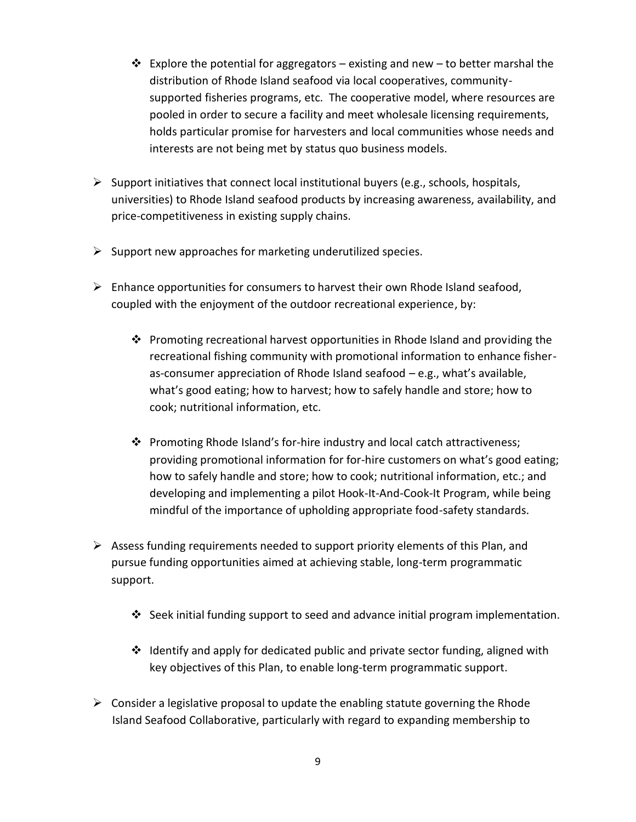- $\triangle$  Explore the potential for aggregators existing and new to better marshal the distribution of Rhode Island seafood via local cooperatives, communitysupported fisheries programs, etc. The cooperative model, where resources are pooled in order to secure a facility and meet wholesale licensing requirements, holds particular promise for harvesters and local communities whose needs and interests are not being met by status quo business models.
- $\triangleright$  Support initiatives that connect local institutional buyers (e.g., schools, hospitals, universities) to Rhode Island seafood products by increasing awareness, availability, and price-competitiveness in existing supply chains.
- $\triangleright$  Support new approaches for marketing underutilized species.
- $\triangleright$  Enhance opportunities for consumers to harvest their own Rhode Island seafood, coupled with the enjoyment of the outdoor recreational experience, by:
	- **Promoting recreational harvest opportunities in Rhode Island and providing the** recreational fishing community with promotional information to enhance fisheras-consumer appreciation of Rhode Island seafood – e.g., what's available, what's good eating; how to harvest; how to safely handle and store; how to cook; nutritional information, etc.
	- Promoting Rhode Island's for-hire industry and local catch attractiveness; providing promotional information for for-hire customers on what's good eating; how to safely handle and store; how to cook; nutritional information, etc.; and developing and implementing a pilot Hook-It-And-Cook-It Program, while being mindful of the importance of upholding appropriate food-safety standards.
- $\triangleright$  Assess funding requirements needed to support priority elements of this Plan, and pursue funding opportunities aimed at achieving stable, long-term programmatic support.
	- Seek initial funding support to seed and advance initial program implementation.
	- $\cdot$  Identify and apply for dedicated public and private sector funding, aligned with key objectives of this Plan, to enable long-term programmatic support.
- $\triangleright$  Consider a legislative proposal to update the enabling statute governing the Rhode Island Seafood Collaborative, particularly with regard to expanding membership to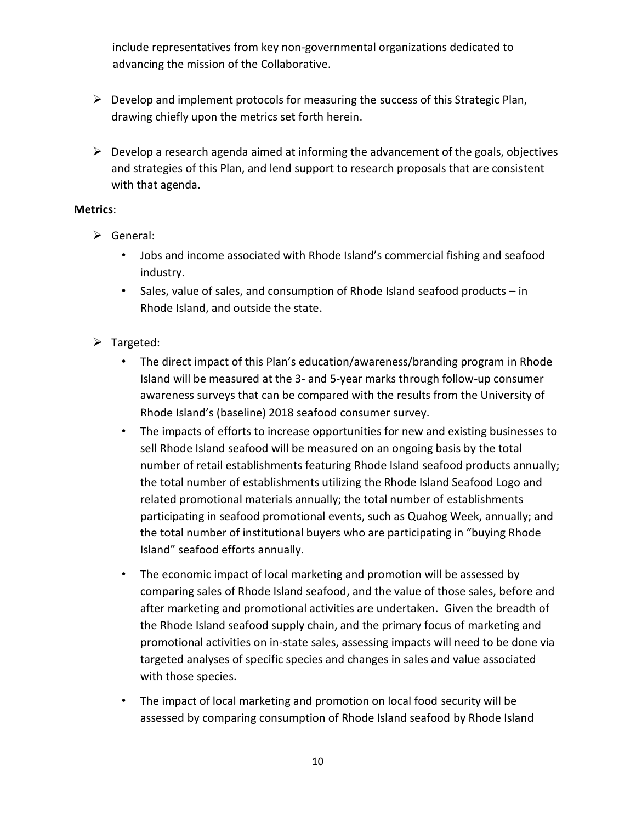include representatives from key non-governmental organizations dedicated to advancing the mission of the Collaborative.

- $\triangleright$  Develop and implement protocols for measuring the success of this Strategic Plan, drawing chiefly upon the metrics set forth herein.
- $\triangleright$  Develop a research agenda aimed at informing the advancement of the goals, objectives and strategies of this Plan, and lend support to research proposals that are consistent with that agenda.

#### **Metrics**:

- General:
	- Jobs and income associated with Rhode Island's commercial fishing and seafood industry.
	- Sales, value of sales, and consumption of Rhode Island seafood products in Rhode Island, and outside the state.
- $\triangleright$  Targeted:
	- The direct impact of this Plan's education/awareness/branding program in Rhode Island will be measured at the 3- and 5-year marks through follow-up consumer awareness surveys that can be compared with the results from the University of Rhode Island's (baseline) 2018 seafood consumer survey.
	- The impacts of efforts to increase opportunities for new and existing businesses to sell Rhode Island seafood will be measured on an ongoing basis by the total number of retail establishments featuring Rhode Island seafood products annually; the total number of establishments utilizing the Rhode Island Seafood Logo and related promotional materials annually; the total number of establishments participating in seafood promotional events, such as Quahog Week, annually; and the total number of institutional buyers who are participating in "buying Rhode Island" seafood efforts annually.
	- The economic impact of local marketing and promotion will be assessed by comparing sales of Rhode Island seafood, and the value of those sales, before and after marketing and promotional activities are undertaken. Given the breadth of the Rhode Island seafood supply chain, and the primary focus of marketing and promotional activities on in-state sales, assessing impacts will need to be done via targeted analyses of specific species and changes in sales and value associated with those species.
	- The impact of local marketing and promotion on local food security will be assessed by comparing consumption of Rhode Island seafood by Rhode Island